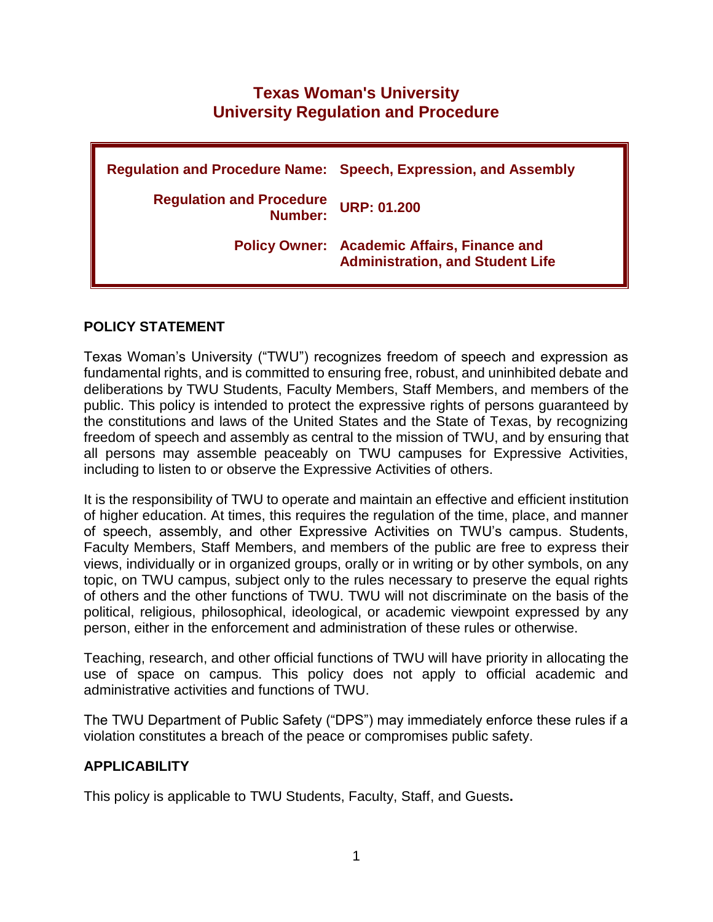# **Texas Woman's University University Regulation and Procedure**

**Regulation and Procedure Name: Speech, Expression, and Assembly Regulation and Procedure Number: URP: 01.200 Policy Owner: Academic Affairs, Finance and Administration, and Student Life**

## **POLICY STATEMENT**

Texas Woman's University ("TWU") recognizes freedom of speech and expression as fundamental rights, and is committed to ensuring free, robust, and uninhibited debate and deliberations by TWU Students, Faculty Members, Staff Members, and members of the public. This policy is intended to protect the expressive rights of persons guaranteed by the constitutions and laws of the United States and the State of Texas, by recognizing freedom of speech and assembly as central to the mission of TWU, and by ensuring that all persons may assemble peaceably on TWU campuses for Expressive Activities, including to listen to or observe the Expressive Activities of others.

It is the responsibility of TWU to operate and maintain an effective and efficient institution of higher education. At times, this requires the regulation of the time, place, and manner of speech, assembly, and other Expressive Activities on TWU's campus. Students, Faculty Members, Staff Members, and members of the public are free to express their views, individually or in organized groups, orally or in writing or by other symbols, on any topic, on TWU campus, subject only to the rules necessary to preserve the equal rights of others and the other functions of TWU. TWU will not discriminate on the basis of the political, religious, philosophical, ideological, or academic viewpoint expressed by any person, either in the enforcement and administration of these rules or otherwise.

Teaching, research, and other official functions of TWU will have priority in allocating the use of space on campus. This policy does not apply to official academic and administrative activities and functions of TWU.

The TWU Department of Public Safety ("DPS") may immediately enforce these rules if a violation constitutes a breach of the peace or compromises public safety.

### **APPLICABILITY**

This policy is applicable to TWU Students, Faculty, Staff, and Guests**.**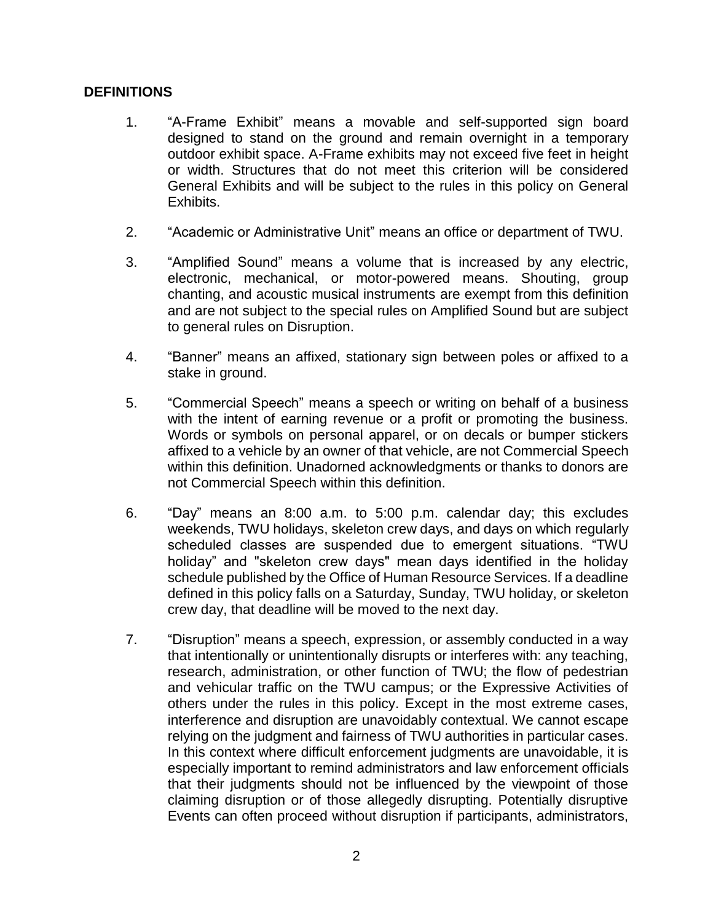## **DEFINITIONS**

- 1. "A-Frame Exhibit" means a movable and self-supported sign board designed to stand on the ground and remain overnight in a temporary outdoor exhibit space. A-Frame exhibits may not exceed five feet in height or width. Structures that do not meet this criterion will be considered General Exhibits and will be subject to the rules in this policy on General Exhibits.
- 2. "Academic or Administrative Unit" means an office or department of TWU.
- 3. "Amplified Sound" means a volume that is increased by any electric, electronic, mechanical, or motor-powered means. Shouting, group chanting, and acoustic musical instruments are exempt from this definition and are not subject to the special rules on Amplified Sound but are subject to general rules on Disruption.
- 4. "Banner" means an affixed, stationary sign between poles or affixed to a stake in ground.
- 5. "Commercial Speech" means a speech or writing on behalf of a business with the intent of earning revenue or a profit or promoting the business. Words or symbols on personal apparel, or on decals or bumper stickers affixed to a vehicle by an owner of that vehicle, are not Commercial Speech within this definition. Unadorned acknowledgments or thanks to donors are not Commercial Speech within this definition.
- 6. "Day" means an 8:00 a.m. to 5:00 p.m. calendar day; this excludes weekends, TWU holidays, skeleton crew days, and days on which regularly scheduled classes are suspended due to emergent situations. "TWU holiday" and "skeleton crew days" mean days identified in the holiday schedule published by the Office of Human Resource Services. If a deadline defined in this policy falls on a Saturday, Sunday, TWU holiday, or skeleton crew day, that deadline will be moved to the next day.
- 7. "Disruption" means a speech, expression, or assembly conducted in a way that intentionally or unintentionally disrupts or interferes with: any teaching, research, administration, or other function of TWU; the flow of pedestrian and vehicular traffic on the TWU campus; or the Expressive Activities of others under the rules in this policy. Except in the most extreme cases, interference and disruption are unavoidably contextual. We cannot escape relying on the judgment and fairness of TWU authorities in particular cases. In this context where difficult enforcement judgments are unavoidable, it is especially important to remind administrators and law enforcement officials that their judgments should not be influenced by the viewpoint of those claiming disruption or of those allegedly disrupting. Potentially disruptive Events can often proceed without disruption if participants, administrators,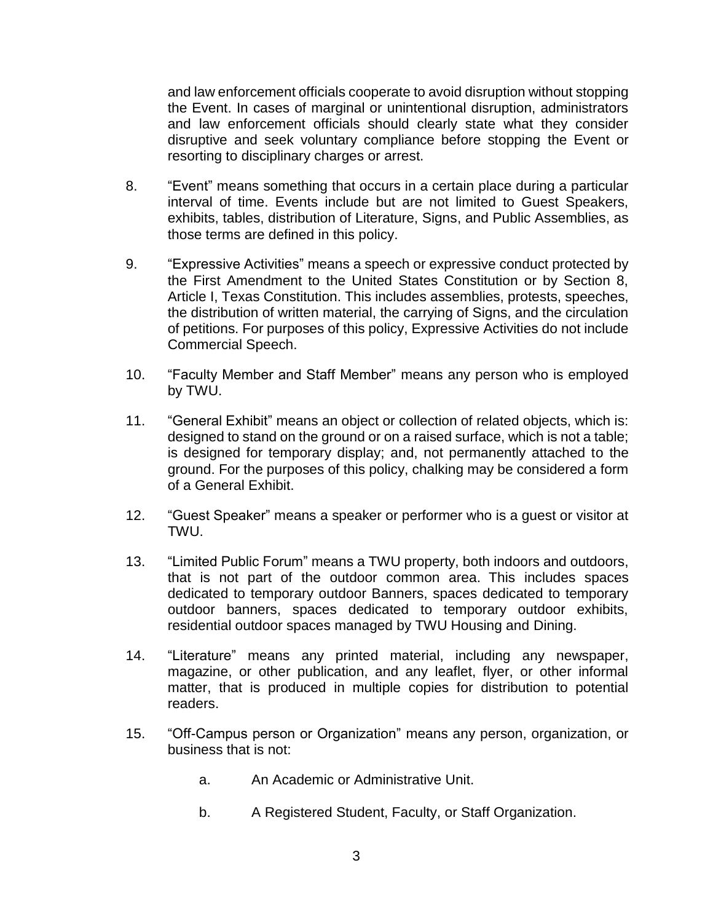and law enforcement officials cooperate to avoid disruption without stopping the Event. In cases of marginal or unintentional disruption, administrators and law enforcement officials should clearly state what they consider disruptive and seek voluntary compliance before stopping the Event or resorting to disciplinary charges or arrest.

- 8. "Event" means something that occurs in a certain place during a particular interval of time. Events include but are not limited to Guest Speakers, exhibits, tables, distribution of Literature, Signs, and Public Assemblies, as those terms are defined in this policy.
- 9. "Expressive Activities" means a speech or expressive conduct protected by the First Amendment to the United States Constitution or by Section 8, Article I, Texas Constitution. This includes assemblies, protests, speeches, the distribution of written material, the carrying of Signs, and the circulation of petitions. For purposes of this policy, Expressive Activities do not include Commercial Speech.
- 10. "Faculty Member and Staff Member" means any person who is employed by TWU.
- 11. "General Exhibit" means an object or collection of related objects, which is: designed to stand on the ground or on a raised surface, which is not a table; is designed for temporary display; and, not permanently attached to the ground. For the purposes of this policy, chalking may be considered a form of a General Exhibit.
- 12. "Guest Speaker" means a speaker or performer who is a guest or visitor at TWU.
- 13. "Limited Public Forum" means a TWU property, both indoors and outdoors, that is not part of the outdoor common area. This includes spaces dedicated to temporary outdoor Banners, spaces dedicated to temporary outdoor banners, spaces dedicated to temporary outdoor exhibits, residential outdoor spaces managed by TWU Housing and Dining.
- 14. "Literature" means any printed material, including any newspaper, magazine, or other publication, and any leaflet, flyer, or other informal matter, that is produced in multiple copies for distribution to potential readers.
- 15. "Off-Campus person or Organization" means any person, organization, or business that is not:
	- a. An Academic or Administrative Unit.
	- b. A Registered Student, Faculty, or Staff Organization.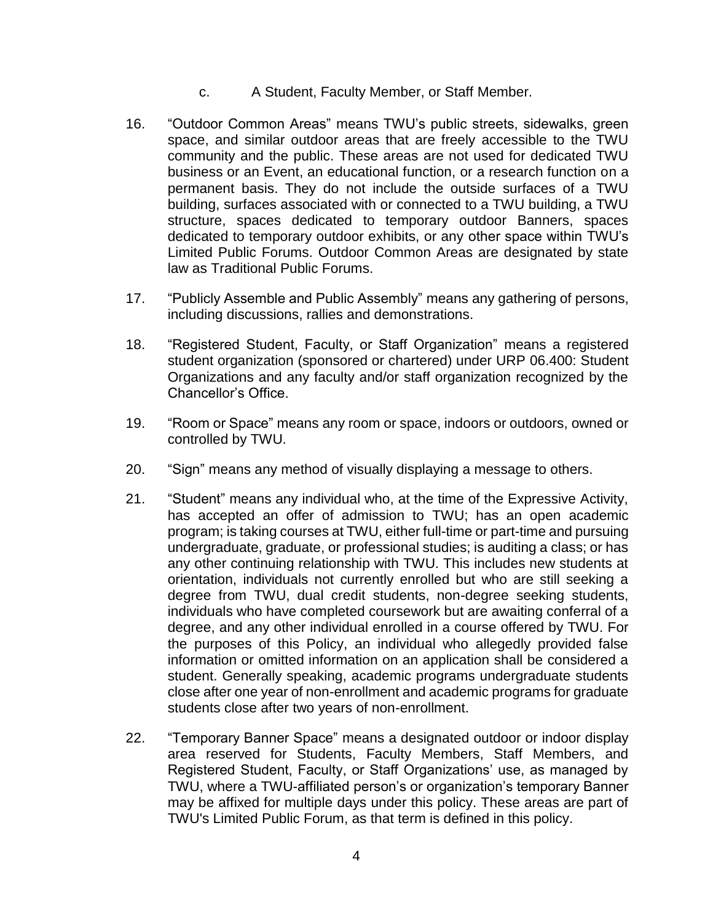- c. A Student, Faculty Member, or Staff Member.
- 16. "Outdoor Common Areas" means TWU's public streets, sidewalks, green space, and similar outdoor areas that are freely accessible to the TWU community and the public. These areas are not used for dedicated TWU business or an Event, an educational function, or a research function on a permanent basis. They do not include the outside surfaces of a TWU building, surfaces associated with or connected to a TWU building, a TWU structure, spaces dedicated to temporary outdoor Banners, spaces dedicated to temporary outdoor exhibits, or any other space within TWU's Limited Public Forums. Outdoor Common Areas are designated by state law as Traditional Public Forums.
- 17. "Publicly Assemble and Public Assembly" means any gathering of persons, including discussions, rallies and demonstrations.
- 18. "Registered Student, Faculty, or Staff Organization" means a registered student organization (sponsored or chartered) under URP 06.400: Student Organizations and any faculty and/or staff organization recognized by the Chancellor's Office.
- 19. "Room or Space" means any room or space, indoors or outdoors, owned or controlled by TWU.
- 20. "Sign" means any method of visually displaying a message to others.
- 21. "Student" means any individual who, at the time of the Expressive Activity, has accepted an offer of admission to TWU; has an open academic program; is taking courses at TWU, either full-time or part-time and pursuing undergraduate, graduate, or professional studies; is auditing a class; or has any other continuing relationship with TWU. This includes new students at orientation, individuals not currently enrolled but who are still seeking a degree from TWU, dual credit students, non-degree seeking students, individuals who have completed coursework but are awaiting conferral of a degree, and any other individual enrolled in a course offered by TWU. For the purposes of this Policy, an individual who allegedly provided false information or omitted information on an application shall be considered a student. Generally speaking, academic programs undergraduate students close after one year of non-enrollment and academic programs for graduate students close after two years of non-enrollment.
- 22. "Temporary Banner Space" means a designated outdoor or indoor display area reserved for Students, Faculty Members, Staff Members, and Registered Student, Faculty, or Staff Organizations' use, as managed by TWU, where a TWU-affiliated person's or organization's temporary Banner may be affixed for multiple days under this policy. These areas are part of TWU's Limited Public Forum, as that term is defined in this policy.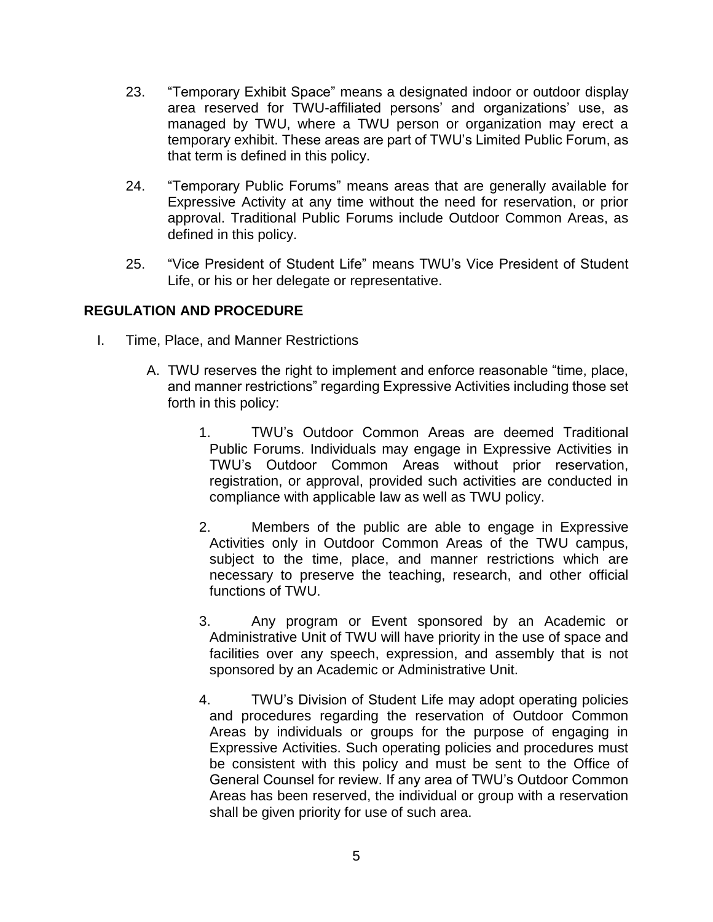- 23. "Temporary Exhibit Space" means a designated indoor or outdoor display area reserved for TWU-affiliated persons' and organizations' use, as managed by TWU, where a TWU person or organization may erect a temporary exhibit. These areas are part of TWU's Limited Public Forum, as that term is defined in this policy.
- 24. "Temporary Public Forums" means areas that are generally available for Expressive Activity at any time without the need for reservation, or prior approval. Traditional Public Forums include Outdoor Common Areas, as defined in this policy.
- 25. "Vice President of Student Life" means TWU's Vice President of Student Life, or his or her delegate or representative.

# **REGULATION AND PROCEDURE**

- I. Time, Place, and Manner Restrictions
	- A. TWU reserves the right to implement and enforce reasonable "time, place, and manner restrictions" regarding Expressive Activities including those set forth in this policy:
		- 1. TWU's Outdoor Common Areas are deemed Traditional Public Forums. Individuals may engage in Expressive Activities in TWU's Outdoor Common Areas without prior reservation, registration, or approval, provided such activities are conducted in compliance with applicable law as well as TWU policy.
		- 2. Members of the public are able to engage in Expressive Activities only in Outdoor Common Areas of the TWU campus, subject to the time, place, and manner restrictions which are necessary to preserve the teaching, research, and other official functions of TWU.
		- 3. Any program or Event sponsored by an Academic or Administrative Unit of TWU will have priority in the use of space and facilities over any speech, expression, and assembly that is not sponsored by an Academic or Administrative Unit.
		- 4. TWU's Division of Student Life may adopt operating policies and procedures regarding the reservation of Outdoor Common Areas by individuals or groups for the purpose of engaging in Expressive Activities. Such operating policies and procedures must be consistent with this policy and must be sent to the Office of General Counsel for review. If any area of TWU's Outdoor Common Areas has been reserved, the individual or group with a reservation shall be given priority for use of such area.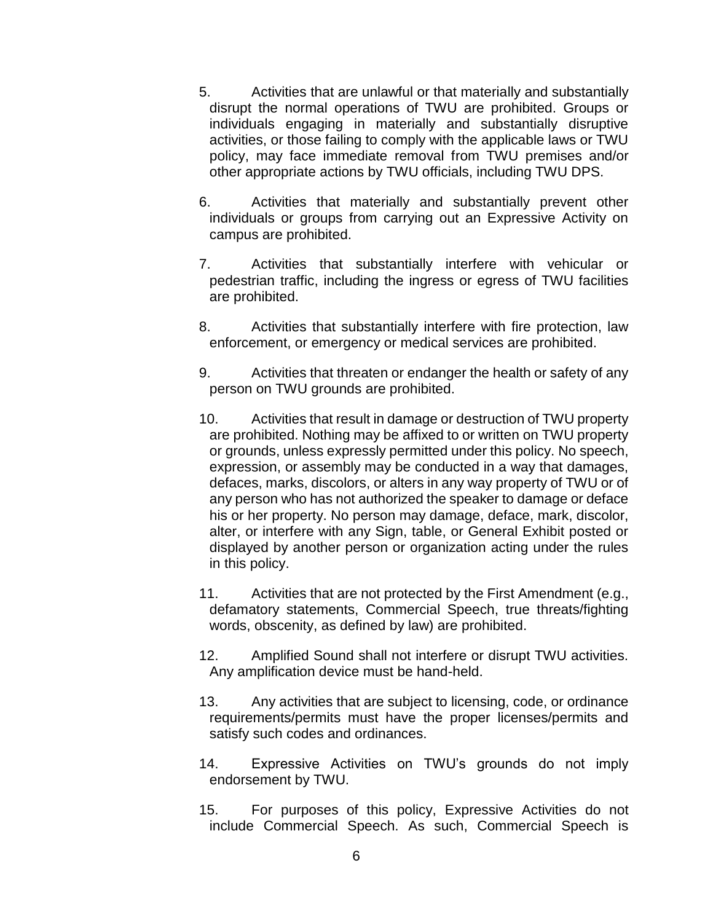- 5. Activities that are unlawful or that materially and substantially disrupt the normal operations of TWU are prohibited. Groups or individuals engaging in materially and substantially disruptive activities, or those failing to comply with the applicable laws or TWU policy, may face immediate removal from TWU premises and/or other appropriate actions by TWU officials, including TWU DPS.
- 6. Activities that materially and substantially prevent other individuals or groups from carrying out an Expressive Activity on campus are prohibited.
- 7. Activities that substantially interfere with vehicular or pedestrian traffic, including the ingress or egress of TWU facilities are prohibited.
- 8. Activities that substantially interfere with fire protection, law enforcement, or emergency or medical services are prohibited.
- 9. Activities that threaten or endanger the health or safety of any person on TWU grounds are prohibited.
- 10. Activities that result in damage or destruction of TWU property are prohibited. Nothing may be affixed to or written on TWU property or grounds, unless expressly permitted under this policy. No speech, expression, or assembly may be conducted in a way that damages, defaces, marks, discolors, or alters in any way property of TWU or of any person who has not authorized the speaker to damage or deface his or her property. No person may damage, deface, mark, discolor, alter, or interfere with any Sign, table, or General Exhibit posted or displayed by another person or organization acting under the rules in this policy.
- 11. Activities that are not protected by the First Amendment (e.g., defamatory statements, Commercial Speech, true threats/fighting words, obscenity, as defined by law) are prohibited.
- 12. Amplified Sound shall not interfere or disrupt TWU activities. Any amplification device must be hand-held.
- 13. Any activities that are subject to licensing, code, or ordinance requirements/permits must have the proper licenses/permits and satisfy such codes and ordinances.
- 14. Expressive Activities on TWU's grounds do not imply endorsement by TWU.
- 15. For purposes of this policy, Expressive Activities do not include Commercial Speech. As such, Commercial Speech is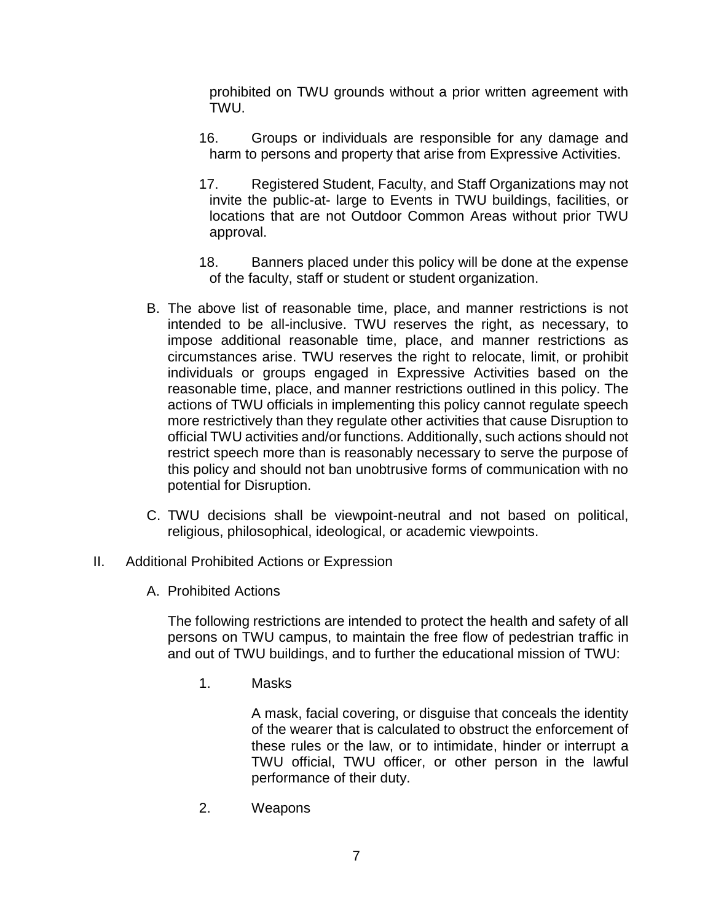prohibited on TWU grounds without a prior written agreement with TWU.

- 16. Groups or individuals are responsible for any damage and harm to persons and property that arise from Expressive Activities.
- 17. Registered Student, Faculty, and Staff Organizations may not invite the public-at- large to Events in TWU buildings, facilities, or locations that are not Outdoor Common Areas without prior TWU approval.
- 18. Banners placed under this policy will be done at the expense of the faculty, staff or student or student organization.
- B. The above list of reasonable time, place, and manner restrictions is not intended to be all-inclusive. TWU reserves the right, as necessary, to impose additional reasonable time, place, and manner restrictions as circumstances arise. TWU reserves the right to relocate, limit, or prohibit individuals or groups engaged in Expressive Activities based on the reasonable time, place, and manner restrictions outlined in this policy. The actions of TWU officials in implementing this policy cannot regulate speech more restrictively than they regulate other activities that cause Disruption to official TWU activities and/or functions. Additionally, such actions should not restrict speech more than is reasonably necessary to serve the purpose of this policy and should not ban unobtrusive forms of communication with no potential for Disruption.
- C. TWU decisions shall be viewpoint-neutral and not based on political, religious, philosophical, ideological, or academic viewpoints.
- II. Additional Prohibited Actions or Expression
	- A. Prohibited Actions

The following restrictions are intended to protect the health and safety of all persons on TWU campus, to maintain the free flow of pedestrian traffic in and out of TWU buildings, and to further the educational mission of TWU:

1. Masks

A mask, facial covering, or disguise that conceals the identity of the wearer that is calculated to obstruct the enforcement of these rules or the law, or to intimidate, hinder or interrupt a TWU official, TWU officer, or other person in the lawful performance of their duty.

2. Weapons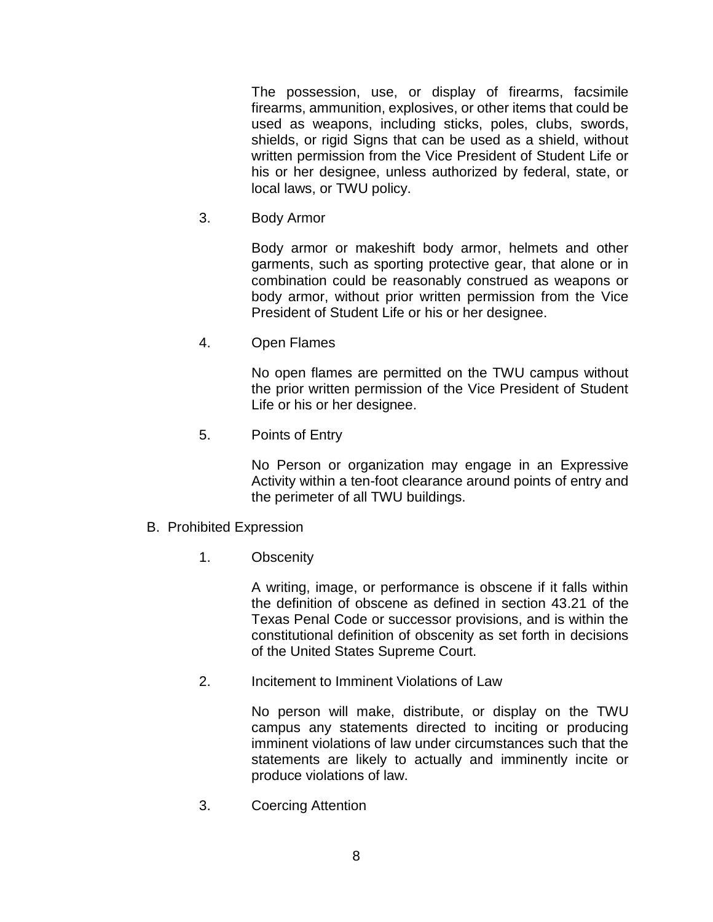The possession, use, or display of firearms, facsimile firearms, ammunition, explosives, or other items that could be used as weapons, including sticks, poles, clubs, swords, shields, or rigid Signs that can be used as a shield, without written permission from the Vice President of Student Life or his or her designee, unless authorized by federal, state, or local laws, or TWU policy.

3. Body Armor

Body armor or makeshift body armor, helmets and other garments, such as sporting protective gear, that alone or in combination could be reasonably construed as weapons or body armor, without prior written permission from the Vice President of Student Life or his or her designee.

4. Open Flames

No open flames are permitted on the TWU campus without the prior written permission of the Vice President of Student Life or his or her designee.

5. Points of Entry

No Person or organization may engage in an Expressive Activity within a ten-foot clearance around points of entry and the perimeter of all TWU buildings.

- B. Prohibited Expression
	- 1. Obscenity

A writing, image, or performance is obscene if it falls within the definition of obscene as defined in section 43.21 of the Texas Penal Code or successor provisions, and is within the constitutional definition of obscenity as set forth in decisions of the United States Supreme Court.

2. Incitement to Imminent Violations of Law

No person will make, distribute, or display on the TWU campus any statements directed to inciting or producing imminent violations of law under circumstances such that the statements are likely to actually and imminently incite or produce violations of law.

3. Coercing Attention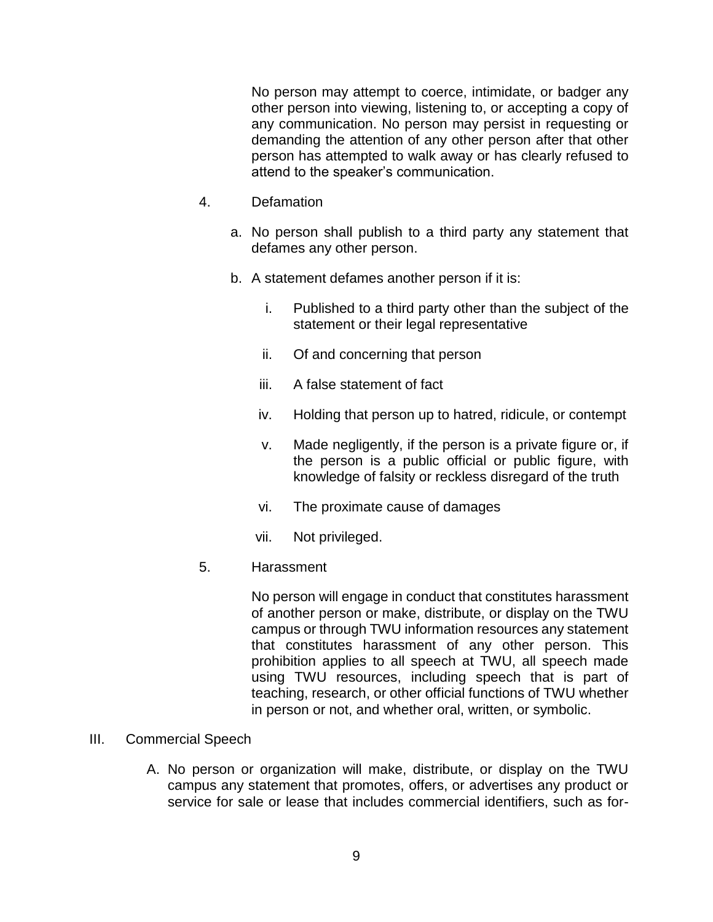No person may attempt to coerce, intimidate, or badger any other person into viewing, listening to, or accepting a copy of any communication. No person may persist in requesting or demanding the attention of any other person after that other person has attempted to walk away or has clearly refused to attend to the speaker's communication.

- 4. Defamation
	- a. No person shall publish to a third party any statement that defames any other person.
	- b. A statement defames another person if it is:
		- i. Published to a third party other than the subject of the statement or their legal representative
		- ii. Of and concerning that person
		- iii. A false statement of fact
		- iv. Holding that person up to hatred, ridicule, or contempt
		- v. Made negligently, if the person is a private figure or, if the person is a public official or public figure, with knowledge of falsity or reckless disregard of the truth
		- vi. The proximate cause of damages
		- vii. Not privileged.
- 5. Harassment

No person will engage in conduct that constitutes harassment of another person or make, distribute, or display on the TWU campus or through TWU information resources any statement that constitutes harassment of any other person. This prohibition applies to all speech at TWU, all speech made using TWU resources, including speech that is part of teaching, research, or other official functions of TWU whether in person or not, and whether oral, written, or symbolic.

- III. Commercial Speech
	- A. No person or organization will make, distribute, or display on the TWU campus any statement that promotes, offers, or advertises any product or service for sale or lease that includes commercial identifiers, such as for-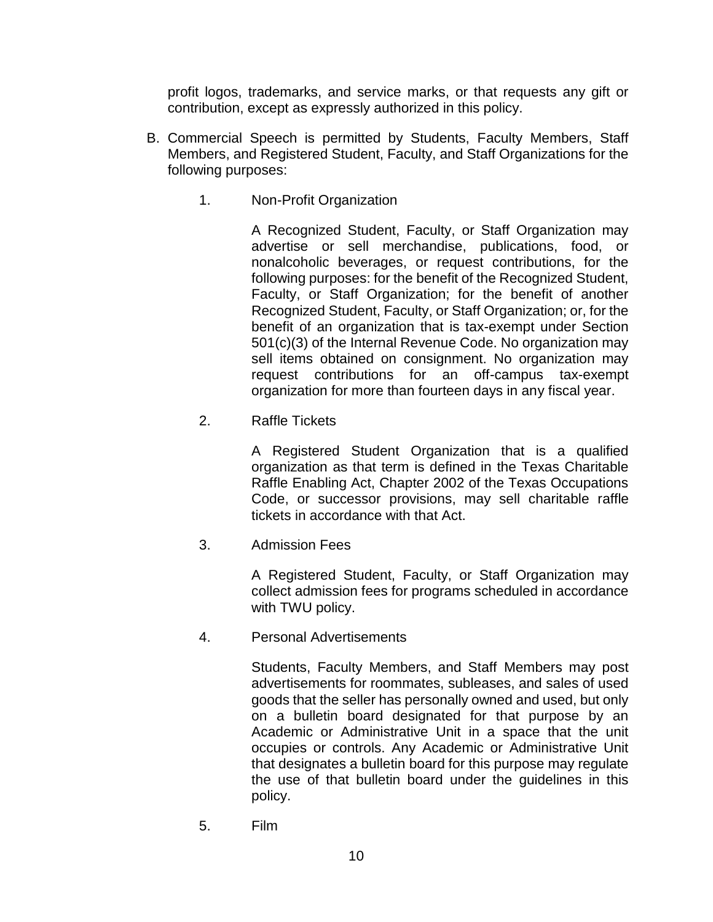profit logos, trademarks, and service marks, or that requests any gift or contribution, except as expressly authorized in this policy.

- B. Commercial Speech is permitted by Students, Faculty Members, Staff Members, and Registered Student, Faculty, and Staff Organizations for the following purposes:
	- 1. Non-Profit Organization

A Recognized Student, Faculty, or Staff Organization may advertise or sell merchandise, publications, food, or nonalcoholic beverages, or request contributions, for the following purposes: for the benefit of the Recognized Student, Faculty, or Staff Organization; for the benefit of another Recognized Student, Faculty, or Staff Organization; or, for the benefit of an organization that is tax-exempt under Section 501(c)(3) of the Internal Revenue Code. No organization may sell items obtained on consignment. No organization may request contributions for an off-campus tax-exempt organization for more than fourteen days in any fiscal year.

2. Raffle Tickets

A Registered Student Organization that is a qualified organization as that term is defined in the Texas Charitable Raffle Enabling Act, Chapter 2002 of the Texas Occupations Code, or successor provisions, may sell charitable raffle tickets in accordance with that Act.

3. Admission Fees

A Registered Student, Faculty, or Staff Organization may collect admission fees for programs scheduled in accordance with TWU policy.

4. Personal Advertisements

Students, Faculty Members, and Staff Members may post advertisements for roommates, subleases, and sales of used goods that the seller has personally owned and used, but only on a bulletin board designated for that purpose by an Academic or Administrative Unit in a space that the unit occupies or controls. Any Academic or Administrative Unit that designates a bulletin board for this purpose may regulate the use of that bulletin board under the guidelines in this policy.

5. Film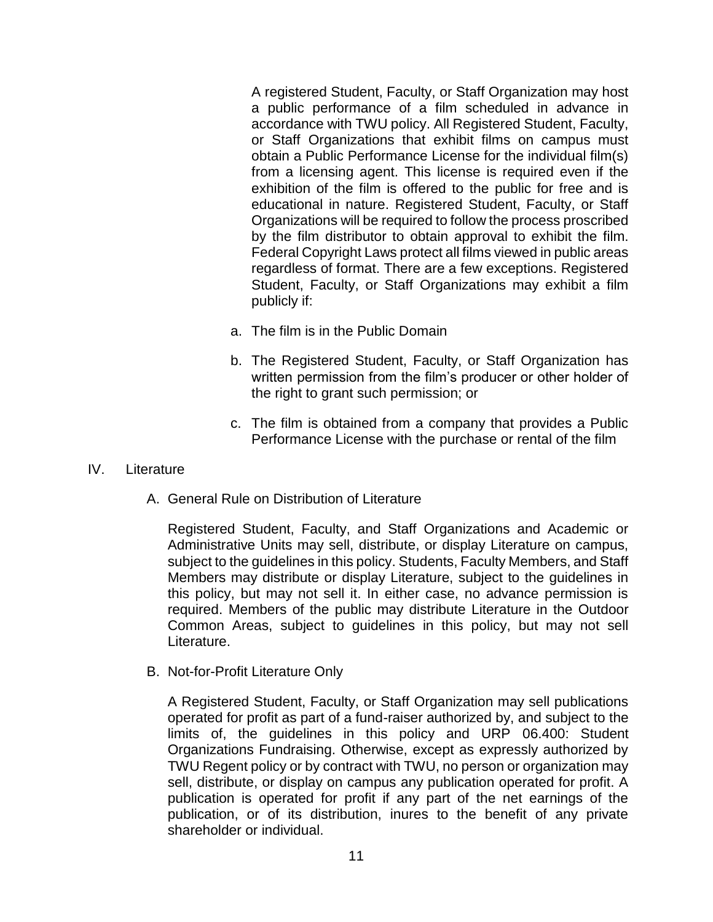A registered Student, Faculty, or Staff Organization may host a public performance of a film scheduled in advance in accordance with TWU policy. All Registered Student, Faculty, or Staff Organizations that exhibit films on campus must obtain a Public Performance License for the individual film(s) from a licensing agent. This license is required even if the exhibition of the film is offered to the public for free and is educational in nature. Registered Student, Faculty, or Staff Organizations will be required to follow the process proscribed by the film distributor to obtain approval to exhibit the film. Federal Copyright Laws protect all films viewed in public areas regardless of format. There are a few exceptions. Registered Student, Faculty, or Staff Organizations may exhibit a film publicly if:

- a. The film is in the Public Domain
- b. The Registered Student, Faculty, or Staff Organization has written permission from the film's producer or other holder of the right to grant such permission; or
- c. The film is obtained from a company that provides a Public Performance License with the purchase or rental of the film

#### IV. Literature

A. General Rule on Distribution of Literature

Registered Student, Faculty, and Staff Organizations and Academic or Administrative Units may sell, distribute, or display Literature on campus, subject to the guidelines in this policy. Students, Faculty Members, and Staff Members may distribute or display Literature, subject to the guidelines in this policy, but may not sell it. In either case, no advance permission is required. Members of the public may distribute Literature in the Outdoor Common Areas, subject to guidelines in this policy, but may not sell Literature.

B. Not-for-Profit Literature Only

A Registered Student, Faculty, or Staff Organization may sell publications operated for profit as part of a fund-raiser authorized by, and subject to the limits of, the guidelines in this policy and URP 06.400: Student Organizations Fundraising. Otherwise, except as expressly authorized by TWU Regent policy or by contract with TWU, no person or organization may sell, distribute, or display on campus any publication operated for profit. A publication is operated for profit if any part of the net earnings of the publication, or of its distribution, inures to the benefit of any private shareholder or individual.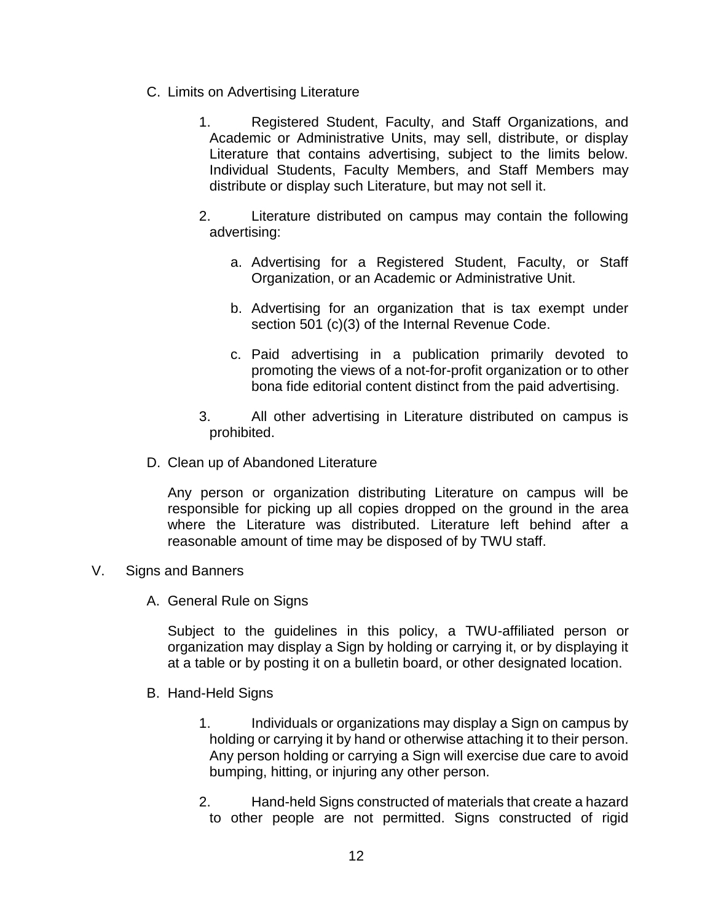- C. Limits on Advertising Literature
	- 1. Registered Student, Faculty, and Staff Organizations, and Academic or Administrative Units, may sell, distribute, or display Literature that contains advertising, subject to the limits below. Individual Students, Faculty Members, and Staff Members may distribute or display such Literature, but may not sell it.
	- 2. Literature distributed on campus may contain the following advertising:
		- a. Advertising for a Registered Student, Faculty, or Staff Organization, or an Academic or Administrative Unit.
		- b. Advertising for an organization that is tax exempt under section 501 (c)(3) of the Internal Revenue Code.
		- c. Paid advertising in a publication primarily devoted to promoting the views of a not-for-profit organization or to other bona fide editorial content distinct from the paid advertising.
	- 3. All other advertising in Literature distributed on campus is prohibited.
- D. Clean up of Abandoned Literature

Any person or organization distributing Literature on campus will be responsible for picking up all copies dropped on the ground in the area where the Literature was distributed. Literature left behind after a reasonable amount of time may be disposed of by TWU staff.

#### V. Signs and Banners

A. General Rule on Signs

Subject to the guidelines in this policy, a TWU-affiliated person or organization may display a Sign by holding or carrying it, or by displaying it at a table or by posting it on a bulletin board, or other designated location.

- B. Hand-Held Signs
	- 1. Individuals or organizations may display a Sign on campus by holding or carrying it by hand or otherwise attaching it to their person. Any person holding or carrying a Sign will exercise due care to avoid bumping, hitting, or injuring any other person.
	- 2. Hand-held Signs constructed of materials that create a hazard to other people are not permitted. Signs constructed of rigid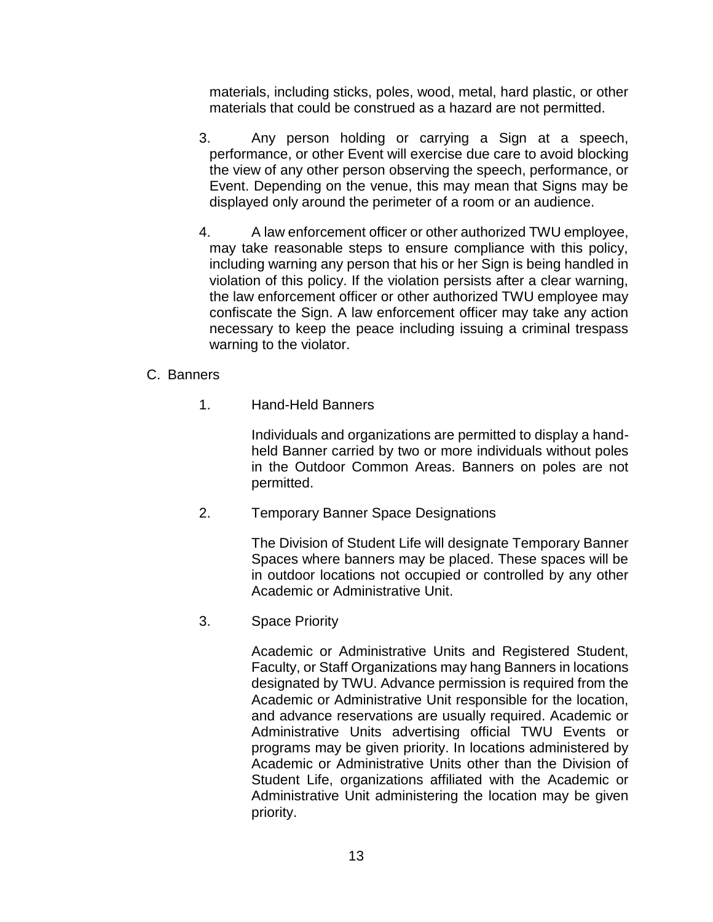materials, including sticks, poles, wood, metal, hard plastic, or other materials that could be construed as a hazard are not permitted.

- 3. Any person holding or carrying a Sign at a speech, performance, or other Event will exercise due care to avoid blocking the view of any other person observing the speech, performance, or Event. Depending on the venue, this may mean that Signs may be displayed only around the perimeter of a room or an audience.
- 4. A law enforcement officer or other authorized TWU employee, may take reasonable steps to ensure compliance with this policy, including warning any person that his or her Sign is being handled in violation of this policy. If the violation persists after a clear warning, the law enforcement officer or other authorized TWU employee may confiscate the Sign. A law enforcement officer may take any action necessary to keep the peace including issuing a criminal trespass warning to the violator.

### C. Banners

1. Hand-Held Banners

Individuals and organizations are permitted to display a handheld Banner carried by two or more individuals without poles in the Outdoor Common Areas. Banners on poles are not permitted.

2. Temporary Banner Space Designations

The Division of Student Life will designate Temporary Banner Spaces where banners may be placed. These spaces will be in outdoor locations not occupied or controlled by any other Academic or Administrative Unit.

3. Space Priority

Academic or Administrative Units and Registered Student, Faculty, or Staff Organizations may hang Banners in locations designated by TWU. Advance permission is required from the Academic or Administrative Unit responsible for the location, and advance reservations are usually required. Academic or Administrative Units advertising official TWU Events or programs may be given priority. In locations administered by Academic or Administrative Units other than the Division of Student Life, organizations affiliated with the Academic or Administrative Unit administering the location may be given priority.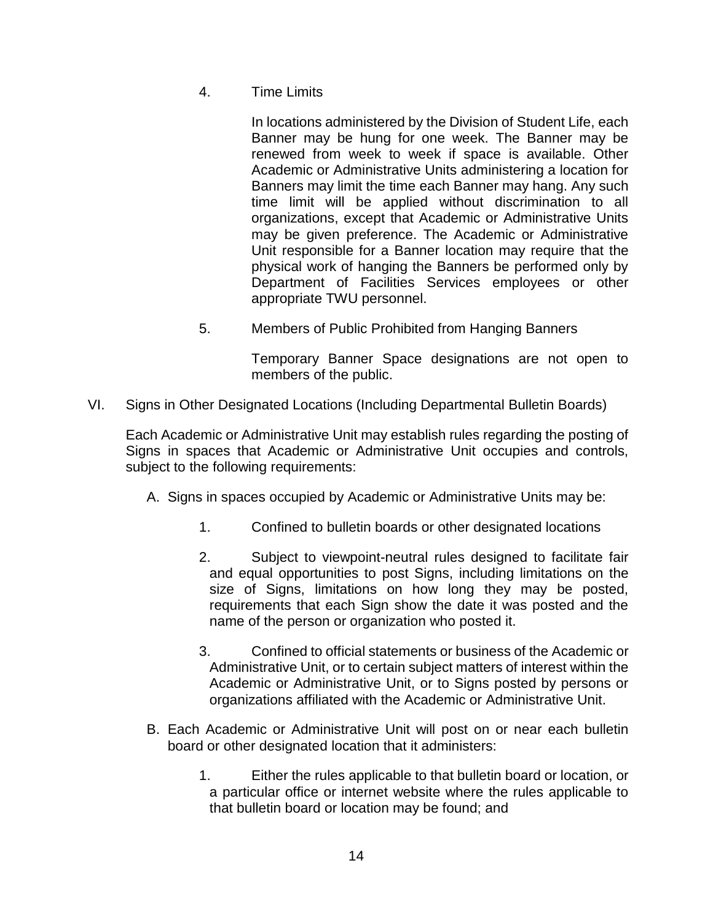4. Time Limits

In locations administered by the Division of Student Life, each Banner may be hung for one week. The Banner may be renewed from week to week if space is available. Other Academic or Administrative Units administering a location for Banners may limit the time each Banner may hang. Any such time limit will be applied without discrimination to all organizations, except that Academic or Administrative Units may be given preference. The Academic or Administrative Unit responsible for a Banner location may require that the physical work of hanging the Banners be performed only by Department of Facilities Services employees or other appropriate TWU personnel.

5. Members of Public Prohibited from Hanging Banners

Temporary Banner Space designations are not open to members of the public.

VI. Signs in Other Designated Locations (Including Departmental Bulletin Boards)

Each Academic or Administrative Unit may establish rules regarding the posting of Signs in spaces that Academic or Administrative Unit occupies and controls, subject to the following requirements:

- A. Signs in spaces occupied by Academic or Administrative Units may be:
	- 1. Confined to bulletin boards or other designated locations
	- 2. Subject to viewpoint-neutral rules designed to facilitate fair and equal opportunities to post Signs, including limitations on the size of Signs, limitations on how long they may be posted, requirements that each Sign show the date it was posted and the name of the person or organization who posted it.
	- 3. Confined to official statements or business of the Academic or Administrative Unit, or to certain subject matters of interest within the Academic or Administrative Unit, or to Signs posted by persons or organizations affiliated with the Academic or Administrative Unit.
- B. Each Academic or Administrative Unit will post on or near each bulletin board or other designated location that it administers:
	- 1. Either the rules applicable to that bulletin board or location, or a particular office or internet website where the rules applicable to that bulletin board or location may be found; and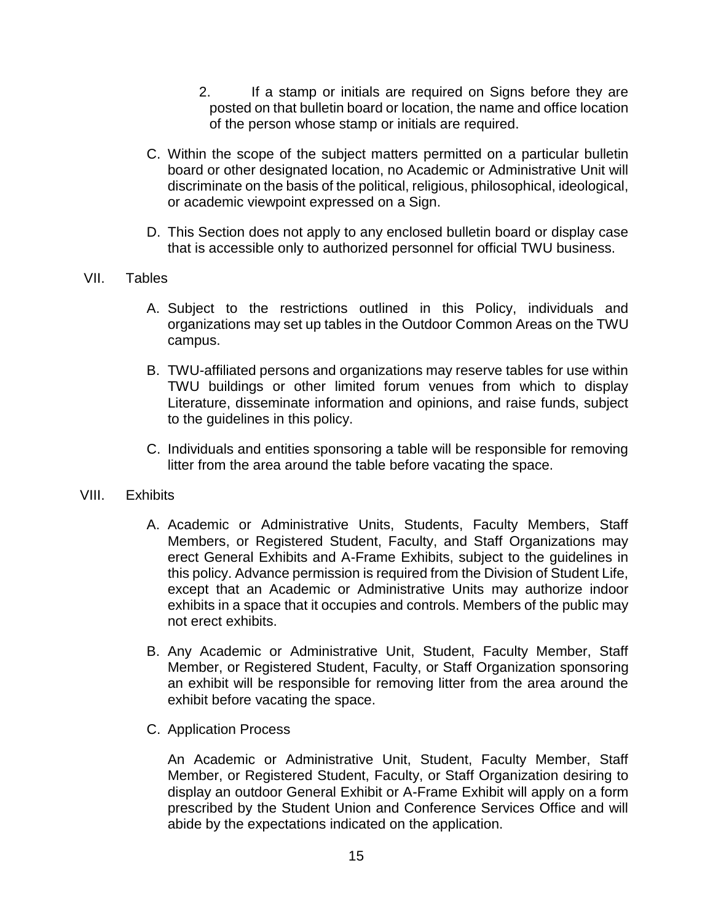- 2. If a stamp or initials are required on Signs before they are posted on that bulletin board or location, the name and office location of the person whose stamp or initials are required.
- C. Within the scope of the subject matters permitted on a particular bulletin board or other designated location, no Academic or Administrative Unit will discriminate on the basis of the political, religious, philosophical, ideological, or academic viewpoint expressed on a Sign.
- D. This Section does not apply to any enclosed bulletin board or display case that is accessible only to authorized personnel for official TWU business.
- VII. Tables
	- A. Subject to the restrictions outlined in this Policy, individuals and organizations may set up tables in the Outdoor Common Areas on the TWU campus.
	- B. TWU-affiliated persons and organizations may reserve tables for use within TWU buildings or other limited forum venues from which to display Literature, disseminate information and opinions, and raise funds, subject to the guidelines in this policy.
	- C. Individuals and entities sponsoring a table will be responsible for removing litter from the area around the table before vacating the space.

### VIII. Exhibits

- A. Academic or Administrative Units, Students, Faculty Members, Staff Members, or Registered Student, Faculty, and Staff Organizations may erect General Exhibits and A-Frame Exhibits, subject to the guidelines in this policy. Advance permission is required from the Division of Student Life, except that an Academic or Administrative Units may authorize indoor exhibits in a space that it occupies and controls. Members of the public may not erect exhibits.
- B. Any Academic or Administrative Unit, Student, Faculty Member, Staff Member, or Registered Student, Faculty, or Staff Organization sponsoring an exhibit will be responsible for removing litter from the area around the exhibit before vacating the space.
- C. Application Process

An Academic or Administrative Unit, Student, Faculty Member, Staff Member, or Registered Student, Faculty, or Staff Organization desiring to display an outdoor General Exhibit or A-Frame Exhibit will apply on a form prescribed by the Student Union and Conference Services Office and will abide by the expectations indicated on the application.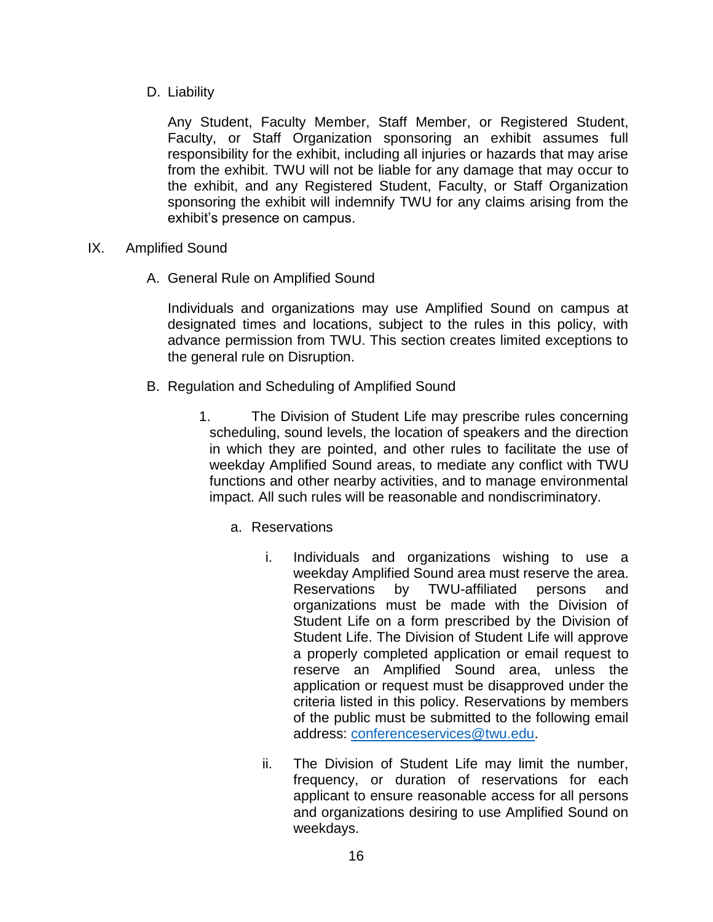D. Liability

Any Student, Faculty Member, Staff Member, or Registered Student, Faculty, or Staff Organization sponsoring an exhibit assumes full responsibility for the exhibit, including all injuries or hazards that may arise from the exhibit. TWU will not be liable for any damage that may occur to the exhibit, and any Registered Student, Faculty, or Staff Organization sponsoring the exhibit will indemnify TWU for any claims arising from the exhibit's presence on campus.

- IX. Amplified Sound
	- A. General Rule on Amplified Sound

Individuals and organizations may use Amplified Sound on campus at designated times and locations, subject to the rules in this policy, with advance permission from TWU. This section creates limited exceptions to the general rule on Disruption.

- B. Regulation and Scheduling of Amplified Sound
	- 1. The Division of Student Life may prescribe rules concerning scheduling, sound levels, the location of speakers and the direction in which they are pointed, and other rules to facilitate the use of weekday Amplified Sound areas, to mediate any conflict with TWU functions and other nearby activities, and to manage environmental impact. All such rules will be reasonable and nondiscriminatory.
		- a. Reservations
			- i. Individuals and organizations wishing to use a weekday Amplified Sound area must reserve the area. Reservations by TWU-affiliated persons and organizations must be made with the Division of Student Life on a form prescribed by the Division of Student Life. The Division of Student Life will approve a properly completed application or email request to reserve an Amplified Sound area, unless the application or request must be disapproved under the criteria listed in this policy. Reservations by members of the public must be submitted to the following email address: [conferenceservices@twu.edu.](mailto:conferenceservices@twu.edu)
			- ii. The Division of Student Life may limit the number, frequency, or duration of reservations for each applicant to ensure reasonable access for all persons and organizations desiring to use Amplified Sound on weekdays.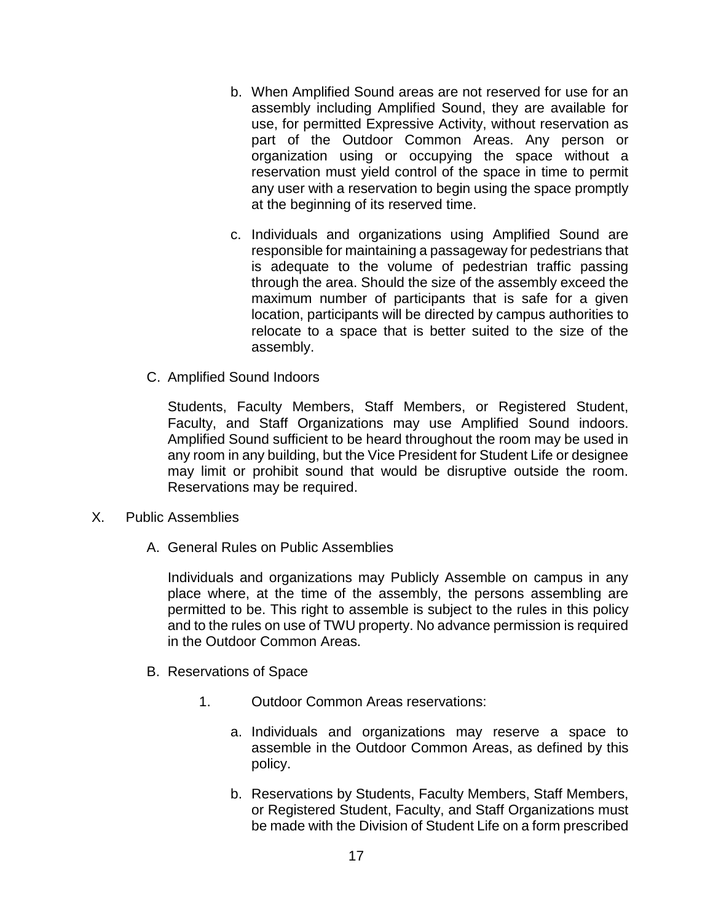- b. When Amplified Sound areas are not reserved for use for an assembly including Amplified Sound, they are available for use, for permitted Expressive Activity, without reservation as part of the Outdoor Common Areas. Any person or organization using or occupying the space without a reservation must yield control of the space in time to permit any user with a reservation to begin using the space promptly at the beginning of its reserved time.
- c. Individuals and organizations using Amplified Sound are responsible for maintaining a passageway for pedestrians that is adequate to the volume of pedestrian traffic passing through the area. Should the size of the assembly exceed the maximum number of participants that is safe for a given location, participants will be directed by campus authorities to relocate to a space that is better suited to the size of the assembly.
- C. Amplified Sound Indoors

Students, Faculty Members, Staff Members, or Registered Student, Faculty, and Staff Organizations may use Amplified Sound indoors. Amplified Sound sufficient to be heard throughout the room may be used in any room in any building, but the Vice President for Student Life or designee may limit or prohibit sound that would be disruptive outside the room. Reservations may be required.

- X. Public Assemblies
	- A. General Rules on Public Assemblies

Individuals and organizations may Publicly Assemble on campus in any place where, at the time of the assembly, the persons assembling are permitted to be. This right to assemble is subject to the rules in this policy and to the rules on use of TWU property. No advance permission is required in the Outdoor Common Areas.

- B. Reservations of Space
	- 1. Outdoor Common Areas reservations:
		- a. Individuals and organizations may reserve a space to assemble in the Outdoor Common Areas, as defined by this policy.
		- b. Reservations by Students, Faculty Members, Staff Members, or Registered Student, Faculty, and Staff Organizations must be made with the Division of Student Life on a form prescribed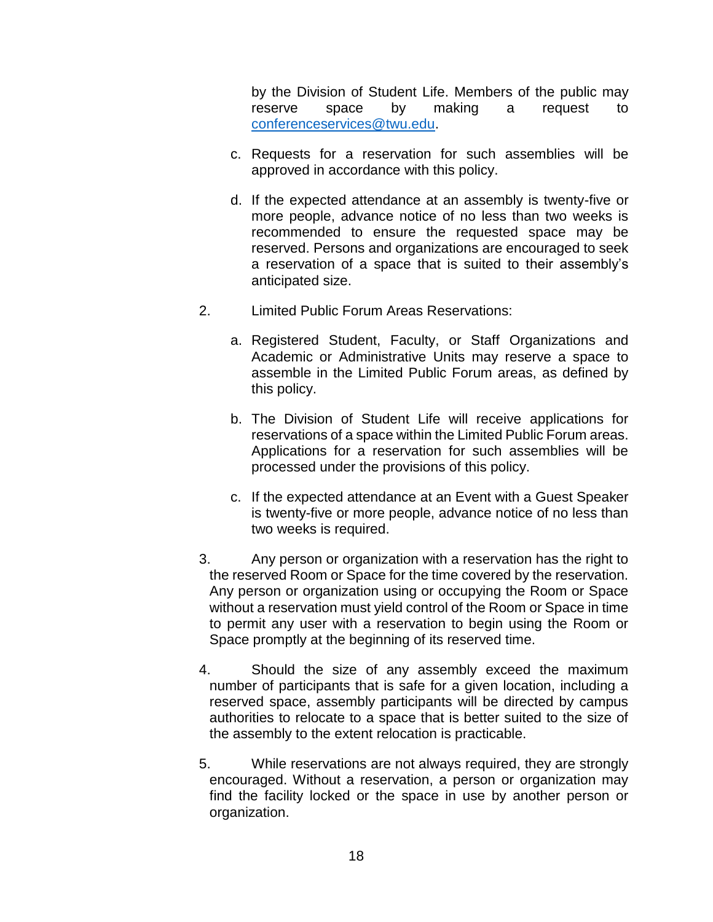by the Division of Student Life. Members of the public may reserve space by making a request to [conferenceservices@twu.edu.](mailto:conferenceservices@twu.edu)

- c. Requests for a reservation for such assemblies will be approved in accordance with this policy.
- d. If the expected attendance at an assembly is twenty-five or more people, advance notice of no less than two weeks is recommended to ensure the requested space may be reserved. Persons and organizations are encouraged to seek a reservation of a space that is suited to their assembly's anticipated size.
- 2. Limited Public Forum Areas Reservations:
	- a. Registered Student, Faculty, or Staff Organizations and Academic or Administrative Units may reserve a space to assemble in the Limited Public Forum areas, as defined by this policy.
	- b. The Division of Student Life will receive applications for reservations of a space within the Limited Public Forum areas. Applications for a reservation for such assemblies will be processed under the provisions of this policy.
	- c. If the expected attendance at an Event with a Guest Speaker is twenty-five or more people, advance notice of no less than two weeks is required.
- 3. Any person or organization with a reservation has the right to the reserved Room or Space for the time covered by the reservation. Any person or organization using or occupying the Room or Space without a reservation must yield control of the Room or Space in time to permit any user with a reservation to begin using the Room or Space promptly at the beginning of its reserved time.
- 4. Should the size of any assembly exceed the maximum number of participants that is safe for a given location, including a reserved space, assembly participants will be directed by campus authorities to relocate to a space that is better suited to the size of the assembly to the extent relocation is practicable.
- 5. While reservations are not always required, they are strongly encouraged. Without a reservation, a person or organization may find the facility locked or the space in use by another person or organization.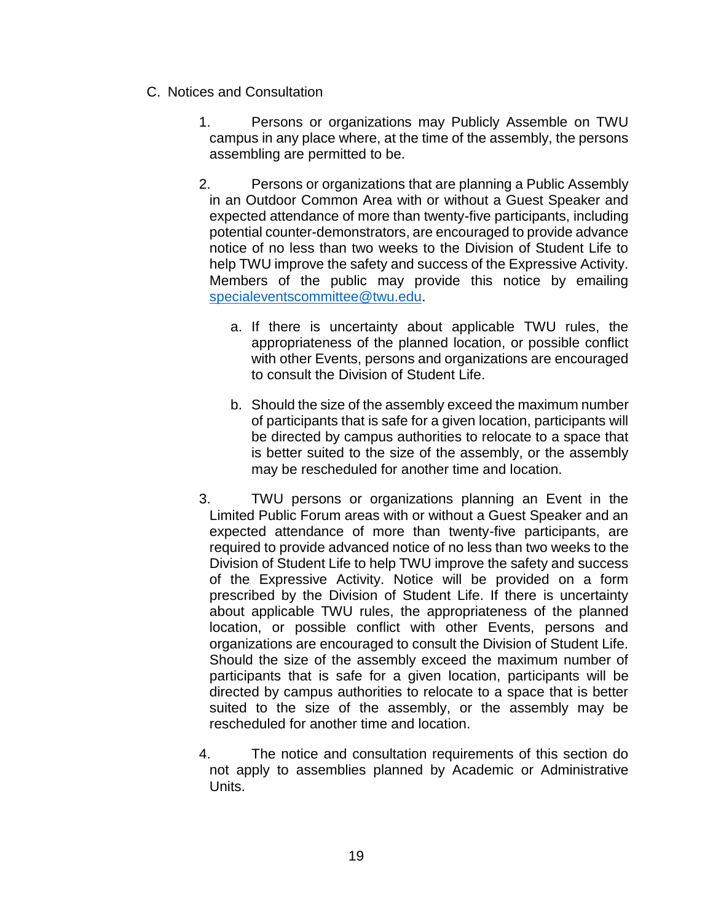- C. Notices and Consultation
	- 1. Persons or organizations may Publicly Assemble on TWU campus in any place where, at the time of the assembly, the persons assembling are permitted to be.
	- 2. Persons or organizations that are planning a Public Assembly in an Outdoor Common Area with or without a Guest Speaker and expected attendance of more than twenty-five participants, including potential counter-demonstrators, are encouraged to provide advance notice of no less than two weeks to the Division of Student Life to help TWU improve the safety and success of the Expressive Activity. Members of the public may provide this notice by emailing [specialeventscommittee@twu.edu.](mailto:specialeventscommittee@twu.edu)
		- a. If there is uncertainty about applicable TWU rules, the appropriateness of the planned location, or possible conflict with other Events, persons and organizations are encouraged to consult the Division of Student Life.
		- b. Should the size of the assembly exceed the maximum number of participants that is safe for a given location, participants will be directed by campus authorities to relocate to a space that is better suited to the size of the assembly, or the assembly may be rescheduled for another time and location.
	- 3. TWU persons or organizations planning an Event in the Limited Public Forum areas with or without a Guest Speaker and an expected attendance of more than twenty-five participants, are required to provide advanced notice of no less than two weeks to the Division of Student Life to help TWU improve the safety and success of the Expressive Activity. Notice will be provided on a form prescribed by the Division of Student Life. If there is uncertainty about applicable TWU rules, the appropriateness of the planned location, or possible conflict with other Events, persons and organizations are encouraged to consult the Division of Student Life. Should the size of the assembly exceed the maximum number of participants that is safe for a given location, participants will be directed by campus authorities to relocate to a space that is better suited to the size of the assembly, or the assembly may be rescheduled for another time and location.
	- 4. The notice and consultation requirements of this section do not apply to assemblies planned by Academic or Administrative Units.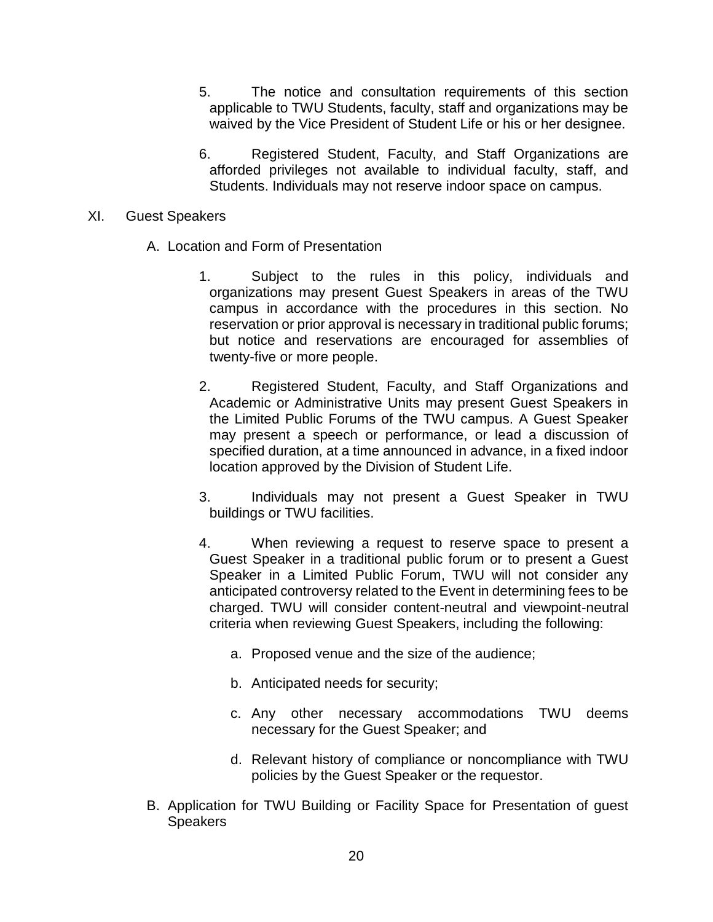- 5. The notice and consultation requirements of this section applicable to TWU Students, faculty, staff and organizations may be waived by the Vice President of Student Life or his or her designee.
- 6. Registered Student, Faculty, and Staff Organizations are afforded privileges not available to individual faculty, staff, and Students. Individuals may not reserve indoor space on campus.

#### XI. Guest Speakers

- A. Location and Form of Presentation
	- 1. Subject to the rules in this policy, individuals and organizations may present Guest Speakers in areas of the TWU campus in accordance with the procedures in this section. No reservation or prior approval is necessary in traditional public forums; but notice and reservations are encouraged for assemblies of twenty-five or more people.
	- 2. Registered Student, Faculty, and Staff Organizations and Academic or Administrative Units may present Guest Speakers in the Limited Public Forums of the TWU campus. A Guest Speaker may present a speech or performance, or lead a discussion of specified duration, at a time announced in advance, in a fixed indoor location approved by the Division of Student Life.
	- 3. Individuals may not present a Guest Speaker in TWU buildings or TWU facilities.
	- 4. When reviewing a request to reserve space to present a Guest Speaker in a traditional public forum or to present a Guest Speaker in a Limited Public Forum, TWU will not consider any anticipated controversy related to the Event in determining fees to be charged. TWU will consider content-neutral and viewpoint-neutral criteria when reviewing Guest Speakers, including the following:
		- a. Proposed venue and the size of the audience;
		- b. Anticipated needs for security;
		- c. Any other necessary accommodations TWU deems necessary for the Guest Speaker; and
		- d. Relevant history of compliance or noncompliance with TWU policies by the Guest Speaker or the requestor.
- B. Application for TWU Building or Facility Space for Presentation of guest **Speakers**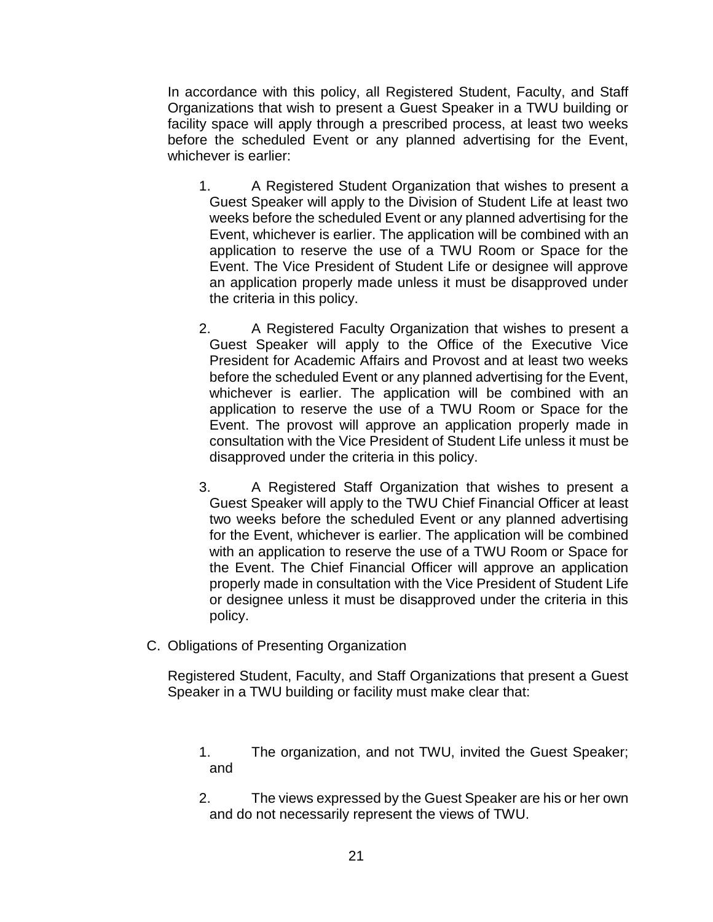In accordance with this policy, all Registered Student, Faculty, and Staff Organizations that wish to present a Guest Speaker in a TWU building or facility space will apply through a prescribed process, at least two weeks before the scheduled Event or any planned advertising for the Event, whichever is earlier:

- 1. A Registered Student Organization that wishes to present a Guest Speaker will apply to the Division of Student Life at least two weeks before the scheduled Event or any planned advertising for the Event, whichever is earlier. The application will be combined with an application to reserve the use of a TWU Room or Space for the Event. The Vice President of Student Life or designee will approve an application properly made unless it must be disapproved under the criteria in this policy.
- 2. A Registered Faculty Organization that wishes to present a Guest Speaker will apply to the Office of the Executive Vice President for Academic Affairs and Provost and at least two weeks before the scheduled Event or any planned advertising for the Event, whichever is earlier. The application will be combined with an application to reserve the use of a TWU Room or Space for the Event. The provost will approve an application properly made in consultation with the Vice President of Student Life unless it must be disapproved under the criteria in this policy.
- 3. A Registered Staff Organization that wishes to present a Guest Speaker will apply to the TWU Chief Financial Officer at least two weeks before the scheduled Event or any planned advertising for the Event, whichever is earlier. The application will be combined with an application to reserve the use of a TWU Room or Space for the Event. The Chief Financial Officer will approve an application properly made in consultation with the Vice President of Student Life or designee unless it must be disapproved under the criteria in this policy.
- C. Obligations of Presenting Organization

Registered Student, Faculty, and Staff Organizations that present a Guest Speaker in a TWU building or facility must make clear that:

- 1. The organization, and not TWU, invited the Guest Speaker; and
- 2. The views expressed by the Guest Speaker are his or her own and do not necessarily represent the views of TWU.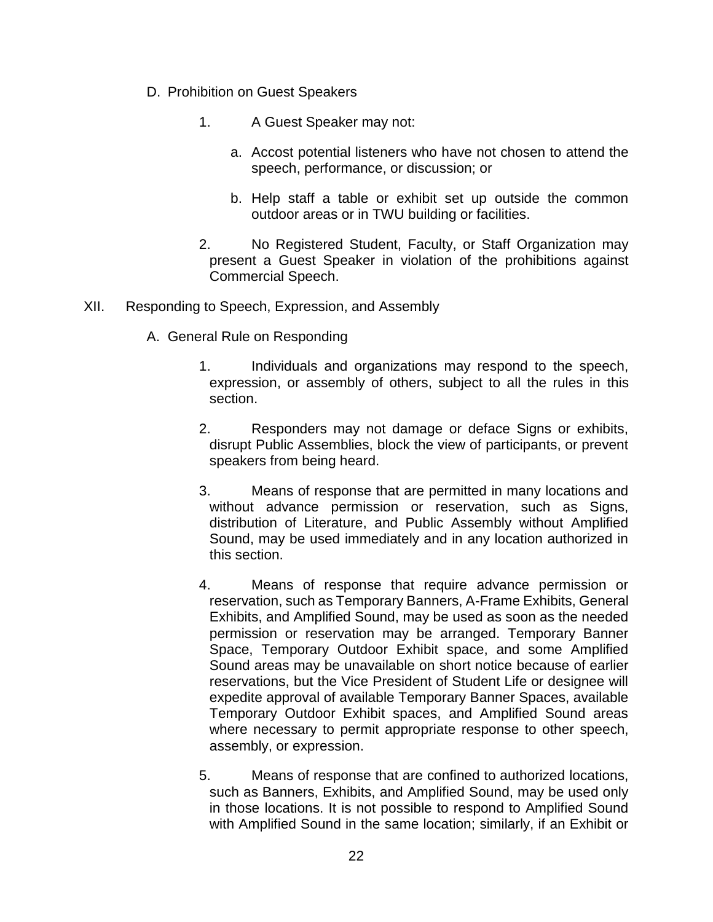- D. Prohibition on Guest Speakers
	- 1. A Guest Speaker may not:
		- a. Accost potential listeners who have not chosen to attend the speech, performance, or discussion; or
		- b. Help staff a table or exhibit set up outside the common outdoor areas or in TWU building or facilities.
	- 2. No Registered Student, Faculty, or Staff Organization may present a Guest Speaker in violation of the prohibitions against Commercial Speech.
- XII. Responding to Speech, Expression, and Assembly
	- A. General Rule on Responding
		- 1. Individuals and organizations may respond to the speech, expression, or assembly of others, subject to all the rules in this section.
		- 2. Responders may not damage or deface Signs or exhibits, disrupt Public Assemblies, block the view of participants, or prevent speakers from being heard.
		- 3. Means of response that are permitted in many locations and without advance permission or reservation, such as Signs, distribution of Literature, and Public Assembly without Amplified Sound, may be used immediately and in any location authorized in this section.
		- 4. Means of response that require advance permission or reservation, such as Temporary Banners, A-Frame Exhibits, General Exhibits, and Amplified Sound, may be used as soon as the needed permission or reservation may be arranged. Temporary Banner Space, Temporary Outdoor Exhibit space, and some Amplified Sound areas may be unavailable on short notice because of earlier reservations, but the Vice President of Student Life or designee will expedite approval of available Temporary Banner Spaces, available Temporary Outdoor Exhibit spaces, and Amplified Sound areas where necessary to permit appropriate response to other speech, assembly, or expression.
		- 5. Means of response that are confined to authorized locations, such as Banners, Exhibits, and Amplified Sound, may be used only in those locations. It is not possible to respond to Amplified Sound with Amplified Sound in the same location; similarly, if an Exhibit or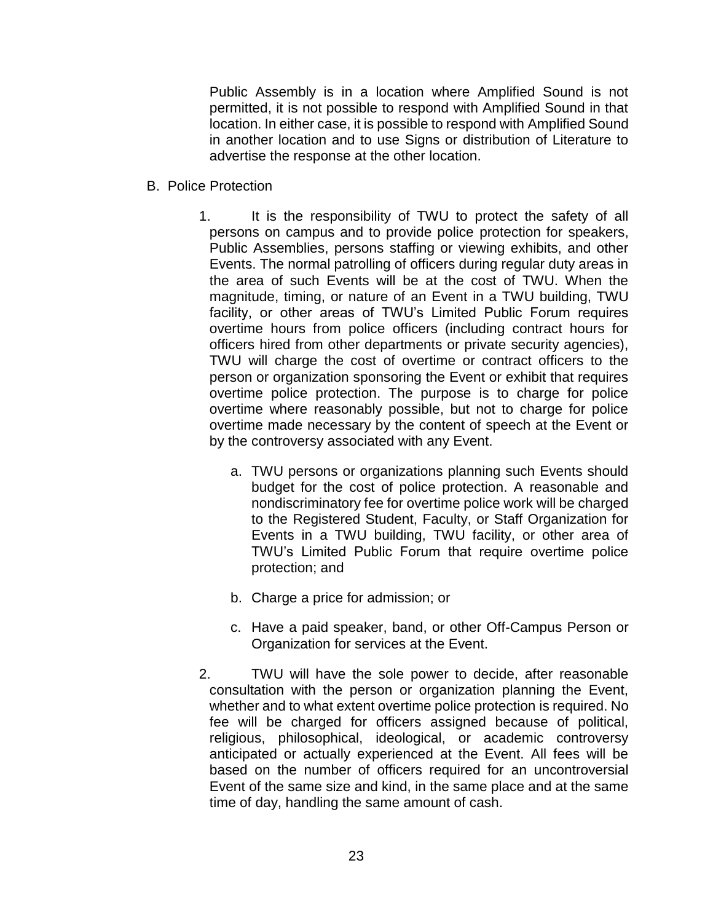Public Assembly is in a location where Amplified Sound is not permitted, it is not possible to respond with Amplified Sound in that location. In either case, it is possible to respond with Amplified Sound in another location and to use Signs or distribution of Literature to advertise the response at the other location.

- B. Police Protection
	- 1. It is the responsibility of TWU to protect the safety of all persons on campus and to provide police protection for speakers, Public Assemblies, persons staffing or viewing exhibits, and other Events. The normal patrolling of officers during regular duty areas in the area of such Events will be at the cost of TWU. When the magnitude, timing, or nature of an Event in a TWU building, TWU facility, or other areas of TWU's Limited Public Forum requires overtime hours from police officers (including contract hours for officers hired from other departments or private security agencies), TWU will charge the cost of overtime or contract officers to the person or organization sponsoring the Event or exhibit that requires overtime police protection. The purpose is to charge for police overtime where reasonably possible, but not to charge for police overtime made necessary by the content of speech at the Event or by the controversy associated with any Event.
		- a. TWU persons or organizations planning such Events should budget for the cost of police protection. A reasonable and nondiscriminatory fee for overtime police work will be charged to the Registered Student, Faculty, or Staff Organization for Events in a TWU building, TWU facility, or other area of TWU's Limited Public Forum that require overtime police protection; and
		- b. Charge a price for admission; or
		- c. Have a paid speaker, band, or other Off-Campus Person or Organization for services at the Event.
	- 2. TWU will have the sole power to decide, after reasonable consultation with the person or organization planning the Event, whether and to what extent overtime police protection is required. No fee will be charged for officers assigned because of political, religious, philosophical, ideological, or academic controversy anticipated or actually experienced at the Event. All fees will be based on the number of officers required for an uncontroversial Event of the same size and kind, in the same place and at the same time of day, handling the same amount of cash.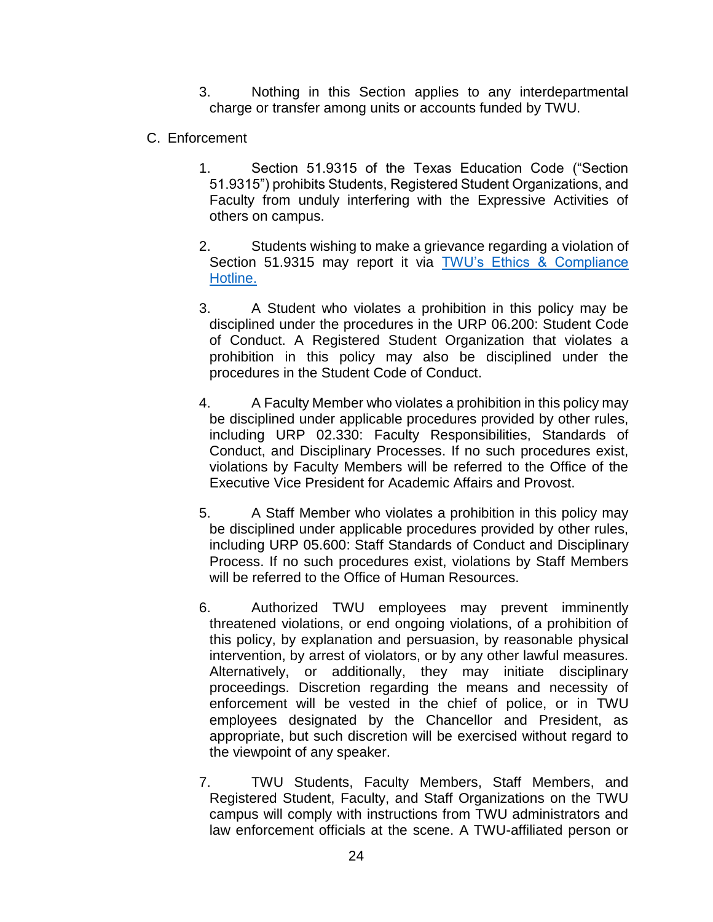3. Nothing in this Section applies to any interdepartmental charge or transfer among units or accounts funded by TWU.

- C. Enforcement
	- 1. Section 51.9315 of the Texas Education Code ("Section 51.9315") prohibits Students, Registered Student Organizations, and Faculty from unduly interfering with the Expressive Activities of others on campus.
	- 2. Students wishing to make a grievance regarding a violation of Section 51.9315 may report it via TWU's Ethics & Compliance [Hotline.](https://twu.edu/hotline/about-the-hotline/)
	- 3. A Student who violates a prohibition in this policy may be disciplined under the procedures in the URP 06.200: Student Code of Conduct. A Registered Student Organization that violates a prohibition in this policy may also be disciplined under the procedures in the Student Code of Conduct.
	- 4. A Faculty Member who violates a prohibition in this policy may be disciplined under applicable procedures provided by other rules, including URP 02.330: Faculty Responsibilities, Standards of Conduct, and Disciplinary Processes. If no such procedures exist, violations by Faculty Members will be referred to the Office of the Executive Vice President for Academic Affairs and Provost.
	- 5. A Staff Member who violates a prohibition in this policy may be disciplined under applicable procedures provided by other rules, including URP 05.600: Staff Standards of Conduct and Disciplinary Process. If no such procedures exist, violations by Staff Members will be referred to the Office of Human Resources.
	- 6. Authorized TWU employees may prevent imminently threatened violations, or end ongoing violations, of a prohibition of this policy, by explanation and persuasion, by reasonable physical intervention, by arrest of violators, or by any other lawful measures. Alternatively, or additionally, they may initiate disciplinary proceedings. Discretion regarding the means and necessity of enforcement will be vested in the chief of police, or in TWU employees designated by the Chancellor and President, as appropriate, but such discretion will be exercised without regard to the viewpoint of any speaker.
	- 7. TWU Students, Faculty Members, Staff Members, and Registered Student, Faculty, and Staff Organizations on the TWU campus will comply with instructions from TWU administrators and law enforcement officials at the scene. A TWU-affiliated person or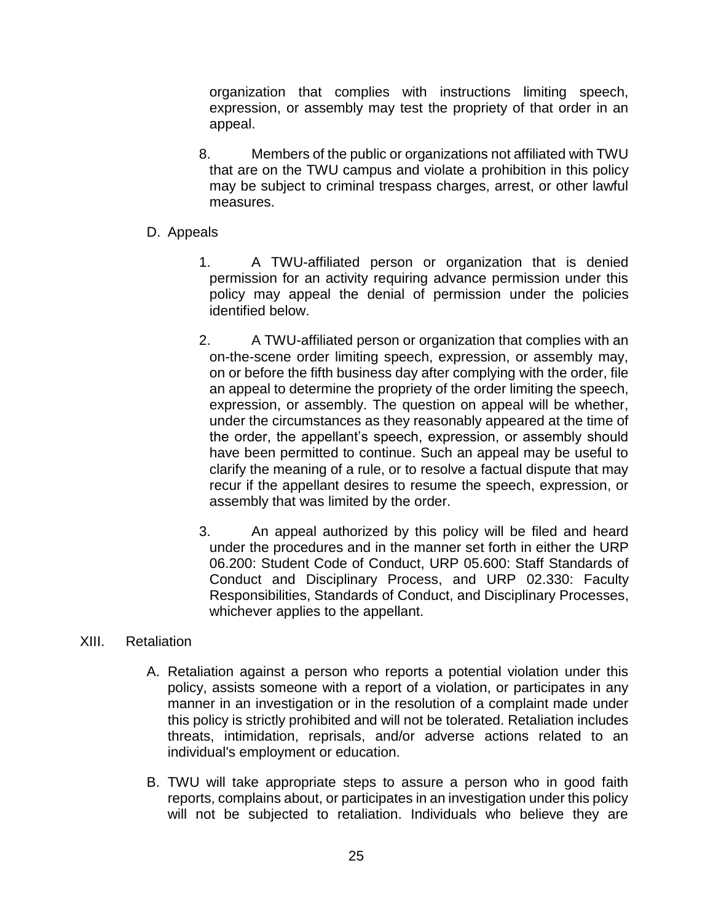organization that complies with instructions limiting speech, expression, or assembly may test the propriety of that order in an appeal.

- 8. Members of the public or organizations not affiliated with TWU that are on the TWU campus and violate a prohibition in this policy may be subject to criminal trespass charges, arrest, or other lawful measures.
- D. Appeals
	- 1. A TWU-affiliated person or organization that is denied permission for an activity requiring advance permission under this policy may appeal the denial of permission under the policies identified below.
	- 2. A TWU-affiliated person or organization that complies with an on-the-scene order limiting speech, expression, or assembly may, on or before the fifth business day after complying with the order, file an appeal to determine the propriety of the order limiting the speech, expression, or assembly. The question on appeal will be whether, under the circumstances as they reasonably appeared at the time of the order, the appellant's speech, expression, or assembly should have been permitted to continue. Such an appeal may be useful to clarify the meaning of a rule, or to resolve a factual dispute that may recur if the appellant desires to resume the speech, expression, or assembly that was limited by the order.
	- 3. An appeal authorized by this policy will be filed and heard under the procedures and in the manner set forth in either the URP 06.200: Student Code of Conduct, URP 05.600: Staff Standards of Conduct and Disciplinary Process, and URP 02.330: Faculty Responsibilities, Standards of Conduct, and Disciplinary Processes, whichever applies to the appellant.

### XIII. Retaliation

- A. Retaliation against a person who reports a potential violation under this policy, assists someone with a report of a violation, or participates in any manner in an investigation or in the resolution of a complaint made under this policy is strictly prohibited and will not be tolerated. Retaliation includes threats, intimidation, reprisals, and/or adverse actions related to an individual's employment or education.
- B. TWU will take appropriate steps to assure a person who in good faith reports, complains about, or participates in an investigation under this policy will not be subjected to retaliation. Individuals who believe they are